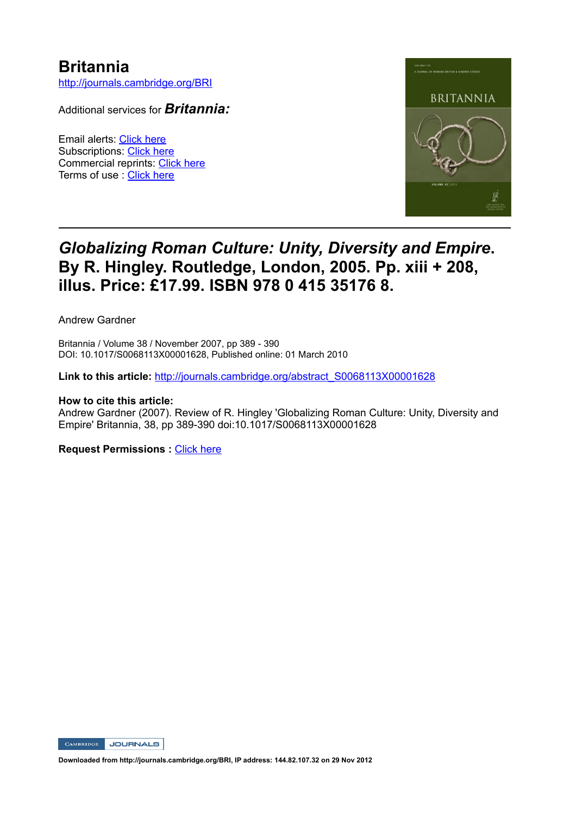## **Britannia**

http://journals.cambridge.org/BRI

Additional services for *Britannia:*

Email alerts: Click here Subscriptions: Click here Commercial reprints: Click here Terms of use : Click here



## *Globalizing Roman Culture: Unity, Diversity and Empire***. By R. Hingley. Routledge, London, 2005. Pp. xiii + 208, illus. Price: £17.99. ISBN 978 0 415 35176 8.**

Andrew Gardner

Britannia / Volume 38 / November 2007, pp 389 - 390 DOI: 10.1017/S0068113X00001628, Published online: 01 March 2010

**Link to this article:** http://journals.cambridge.org/abstract\_S0068113X00001628

## **How to cite this article:**

Andrew Gardner (2007). Review of R. Hingley 'Globalizing Roman Culture: Unity, Diversity and Empire' Britannia, 38, pp 389390 doi:10.1017/S0068113X00001628

**Request Permissions :** Click here

CAMBRIDGE JOURNALS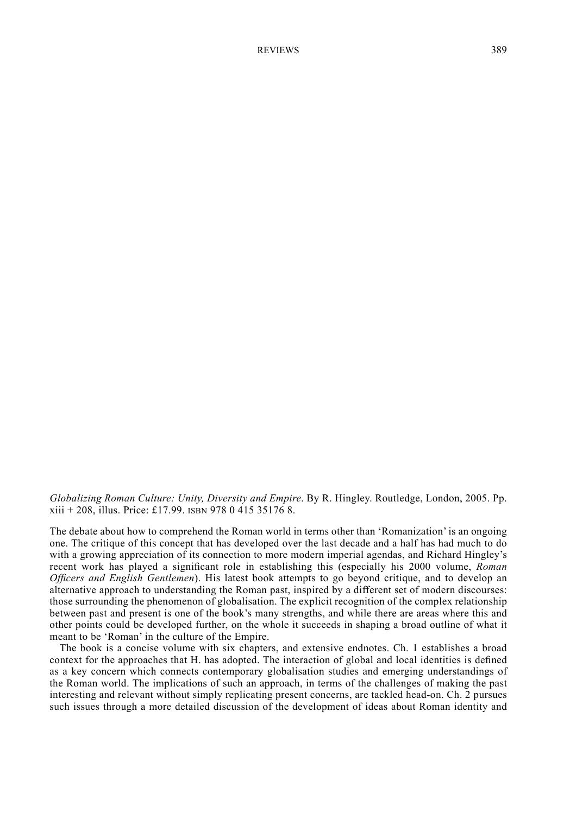**REVIEWS** 

Globalizing Roman Culture: Unity, Diversity and Empire. By R. Hingley. Routledge, London, 2005. Pp. xiii + 208, illus. Price: £17.99. ISBN 978 0 415 35176 8.

The debate about how to comprehend the Roman world in terms other than 'Romanization' is an ongoing one. The critique of this concept that has developed over the last decade and a half has had much to do with a growing appreciation of its connection to more modern imperial agendas, and Richard Hingley's recent work has played a significant role in establishing this (especially his 2000 volume, Roman Officers and English Gentlemen). His latest book attempts to go beyond critique, and to develop an alternative approach to understanding the Roman past, inspired by a different set of modern discourses: those surrounding the phenomenon of globalisation. The explicit recognition of the complex relationship between past and present is one of the book's many strengths, and while there are areas where this and other points could be developed further, on the whole it succeeds in shaping a broad outline of what it meant to be 'Roman' in the culture of the Empire.

The book is a concise volume with six chapters, and extensive endnotes. Ch. 1 establishes a broad context for the approaches that H. has adopted. The interaction of global and local identities is defined as a key concern which connects contemporary globalisation studies and emerging understandings of the Roman world. The implications of such an approach, in terms of the challenges of making the past interesting and relevant without simply replicating present concerns, are tackled head-on. Ch. 2 pursues such issues through a more detailed discussion of the development of ideas about Roman identity and